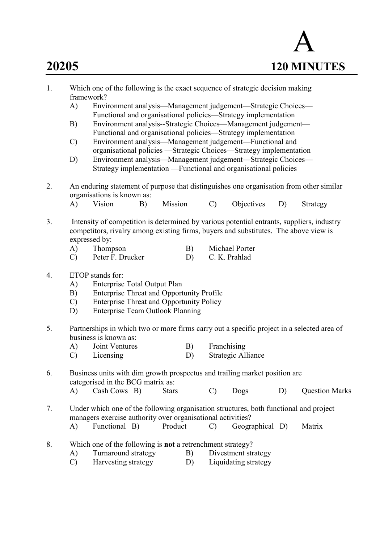

| 1. | Which one of the following is the exact sequence of strategic decision making<br>framework? |                                                                                                                                 |    |              |    |               |                                                                                       |    |                       |  |  |  |  |
|----|---------------------------------------------------------------------------------------------|---------------------------------------------------------------------------------------------------------------------------------|----|--------------|----|---------------|---------------------------------------------------------------------------------------|----|-----------------------|--|--|--|--|
|    | A)                                                                                          |                                                                                                                                 |    |              |    |               | Environment analysis-Management judgement-Strategic Choices-                          |    |                       |  |  |  |  |
|    |                                                                                             |                                                                                                                                 |    |              |    |               | Functional and organisational policies—Strategy implementation                        |    |                       |  |  |  |  |
|    | B)                                                                                          |                                                                                                                                 |    |              |    |               | Environment analysis--Strategic Choices—Management judgement—                         |    |                       |  |  |  |  |
|    |                                                                                             | Functional and organisational policies—Strategy implementation                                                                  |    |              |    |               |                                                                                       |    |                       |  |  |  |  |
|    | $\mathcal{C}$                                                                               | Environment analysis-Management judgement-Functional and<br>organisational policies —Strategic Choices—Strategy implementation  |    |              |    |               |                                                                                       |    |                       |  |  |  |  |
|    |                                                                                             |                                                                                                                                 |    |              |    |               |                                                                                       |    |                       |  |  |  |  |
|    | D)                                                                                          | Environment analysis—Management judgement—Strategic Choices—<br>Strategy implementation —Functional and organisational policies |    |              |    |               |                                                                                       |    |                       |  |  |  |  |
|    |                                                                                             |                                                                                                                                 |    |              |    |               |                                                                                       |    |                       |  |  |  |  |
| 2. | An enduring statement of purpose that distinguishes one organisation from other similar     |                                                                                                                                 |    |              |    |               |                                                                                       |    |                       |  |  |  |  |
|    | organisations is known as:                                                                  |                                                                                                                                 |    |              |    |               |                                                                                       |    |                       |  |  |  |  |
|    | A)                                                                                          | Vision                                                                                                                          | B) | Mission      |    | $\mathcal{C}$ | Objectives                                                                            | D) | Strategy              |  |  |  |  |
| 3. | Intensity of competition is determined by various potential entrants, suppliers, industry   |                                                                                                                                 |    |              |    |               |                                                                                       |    |                       |  |  |  |  |
|    |                                                                                             | competitors, rivalry among existing firms, buyers and substitutes. The above view is                                            |    |              |    |               |                                                                                       |    |                       |  |  |  |  |
|    |                                                                                             | expressed by:                                                                                                                   |    |              |    |               |                                                                                       |    |                       |  |  |  |  |
|    | A)                                                                                          | Thompson                                                                                                                        |    |              | B) |               | Michael Porter                                                                        |    |                       |  |  |  |  |
|    | $\mathcal{C}$                                                                               | Peter F. Drucker                                                                                                                |    |              | D) |               | C. K. Prahlad                                                                         |    |                       |  |  |  |  |
| 4. | ETOP stands for:                                                                            |                                                                                                                                 |    |              |    |               |                                                                                       |    |                       |  |  |  |  |
|    | A)                                                                                          | <b>Enterprise Total Output Plan</b>                                                                                             |    |              |    |               |                                                                                       |    |                       |  |  |  |  |
|    | B)                                                                                          | <b>Enterprise Threat and Opportunity Profile</b>                                                                                |    |              |    |               |                                                                                       |    |                       |  |  |  |  |
|    | $\mathcal{C}$                                                                               | <b>Enterprise Threat and Opportunity Policy</b>                                                                                 |    |              |    |               |                                                                                       |    |                       |  |  |  |  |
|    | D)                                                                                          | <b>Enterprise Team Outlook Planning</b>                                                                                         |    |              |    |               |                                                                                       |    |                       |  |  |  |  |
| 5. | Partnerships in which two or more firms carry out a specific project in a selected area of  |                                                                                                                                 |    |              |    |               |                                                                                       |    |                       |  |  |  |  |
|    |                                                                                             | business is known as:                                                                                                           |    |              |    |               |                                                                                       |    |                       |  |  |  |  |
|    | A)                                                                                          | Joint Ventures                                                                                                                  |    |              | B) | Franchising   |                                                                                       |    |                       |  |  |  |  |
|    | $\mathcal{C}$                                                                               | Licensing                                                                                                                       |    |              | D) |               | Strategic Alliance                                                                    |    |                       |  |  |  |  |
| 6. | Business units with dim growth prospectus and trailing market position are                  |                                                                                                                                 |    |              |    |               |                                                                                       |    |                       |  |  |  |  |
|    |                                                                                             | categorised in the BCG matrix as:                                                                                               |    |              |    |               |                                                                                       |    |                       |  |  |  |  |
|    | A)                                                                                          | Cash Cows B)                                                                                                                    |    | <b>Stars</b> |    | $\mathcal{C}$ | Dogs                                                                                  | D) | <b>Question Marks</b> |  |  |  |  |
| 7. |                                                                                             |                                                                                                                                 |    |              |    |               | Under which one of the following organisation structures, both functional and project |    |                       |  |  |  |  |
|    |                                                                                             | managers exercise authority over organisational activities?                                                                     |    |              |    |               |                                                                                       |    |                       |  |  |  |  |
|    | A)                                                                                          | Functional B)                                                                                                                   |    | Product      |    | $\mathcal{C}$ | Geographical D)                                                                       |    | Matrix                |  |  |  |  |
| 8. |                                                                                             | Which one of the following is not a retrenchment strategy?                                                                      |    |              |    |               |                                                                                       |    |                       |  |  |  |  |
|    | A)                                                                                          | Turnaround strategy                                                                                                             |    |              | B) |               | Divestment strategy                                                                   |    |                       |  |  |  |  |
|    |                                                                                             |                                                                                                                                 |    |              |    |               | $\mathbf{D}$ $\mathbf{I}$ inidating strates                                           |    |                       |  |  |  |  |

C) Harvesting strategy D) Liquidating strategy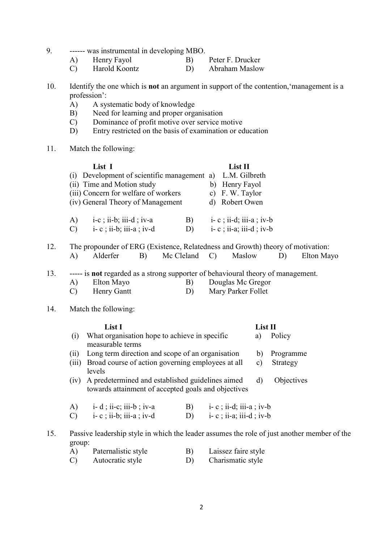- 9. ------ was instrumental in developing MBO.
	-

A) Henry Fayol B) Peter F. Drucker<br>
C) Harold Koontz D) Abraham Maslow Abraham Maslow

10. Identify the one which is not an argument in support of the contention,'management is a profession':

- A) A systematic body of knowledge
- B) Need for learning and proper organisation
- C) Dominance of profit motive over service motive
- D) Entry restricted on the basis of examination or education
- 11. Match the following:

|               | List I                                      |              | List II                   |
|---------------|---------------------------------------------|--------------|---------------------------|
|               | (i) Development of scientific management a) |              | L.M. Gilbreth             |
|               | (ii) Time and Motion study                  |              | b) Henry Fayol            |
|               | (iii) Concern for welfare of workers        |              | c) F. W. Taylor           |
|               | (iv) General Theory of Management           |              | d) Robert Owen            |
| A)            | $i-c$ ; ii-b; iii-d; iv-a                   | $\mathbf{B}$ | $i-c$ ; ii-d; iii-a; iv-b |
| $\mathcal{C}$ | $i-c$ ; ii-b; iii-a; iv-d                   | D)           | $i-c$ ; ii-a; iii-d; iv-b |

12. The propounder of ERG (Existence, Relatedness and Growth) theory of motivation:

|  | Alderfer |  | Mc Cleland C) |  | Maslow |  | Elton Mayo |
|--|----------|--|---------------|--|--------|--|------------|
|--|----------|--|---------------|--|--------|--|------------|

13. ----- is not regarded as a strong supporter of behavioural theory of management.

- A) Elton Mayo B) Douglas Mc Gregor
- C) Henry Gantt D) Mary Parker Follet

# 14. Match the following:

|               | List I                                                                                                       |                |                           | List II |           |
|---------------|--------------------------------------------------------------------------------------------------------------|----------------|---------------------------|---------|-----------|
| (1)           | What organisation hope to achieve in specific<br>measurable terms                                            |                |                           | a)      | Policy    |
| (11)          | Long term direction and scope of an organisation                                                             |                |                           | b)      | Programme |
| (iii)         | Broad course of action governing employees at all<br>levels                                                  | $\mathbf{c}$ ) | Strategy                  |         |           |
|               | (iv) A predetermined and established guidelines aimed<br>towards attainment of accepted goals and objectives | d)             | Objectives                |         |           |
| A)            | $i-d$ ; ii-c; iii-b; iv-a                                                                                    | B)             | $i-c$ ; ii-d; iii-a; iv-b |         |           |
| $\mathcal{C}$ | $i-c$ ; ii-b; iii-a; iv-d                                                                                    | D)             | $i-c$ ; ii-a; iii-d; iv-b |         |           |
|               | Passive leadership style in which the leader assumes the role of just another n                              |                |                           |         |           |

15. Passive leadership style in which the leader assumes the role of just another member of the group:

| A) | Paternalistic style | B) | Laissez faire style |
|----|---------------------|----|---------------------|
|    | Autocratic style    |    | Charismatic style   |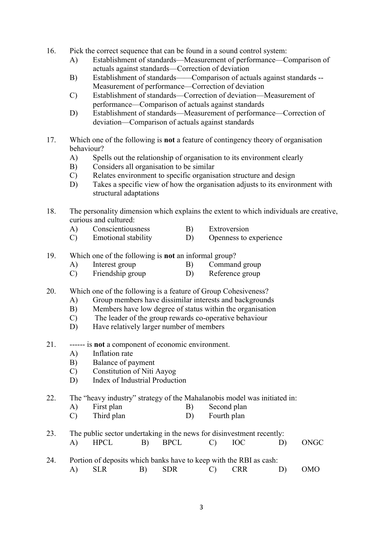- 16. Pick the correct sequence that can be found in a sound control system:
	- A) Establishment of standards—Measurement of performance—Comparison of actuals against standards—Correction of deviation
	- B) Establishment of standards——Comparison of actuals against standards -- Measurement of performance—Correction of deviation
	- C) Establishment of standards—Correction of deviation—Measurement of performance—Comparison of actuals against standards
	- D) Establishment of standards—Measurement of performance—Correction of deviation—Comparison of actuals against standards
- 17. Which one of the following is not a feature of contingency theory of organisation behaviour?
	- A) Spells out the relationship of organisation to its environment clearly
	- B) Considers all organisation to be similar
	- C) Relates environment to specific organisation structure and design
	- D) Takes a specific view of how the organisation adjusts to its environment with structural adaptations
- 18. The personality dimension which explains the extent to which individuals are creative, curious and cultured:
	- A) Conscientiousness B) Extroversion
	- C) Emotional stability D) Openness to experience
- 19. Which one of the following is not an informal group?
	- A) Interest group B) Command group
	- C) Friendship group D) Reference group

20. Which one of the following is a feature of Group Cohesiveness?

- A) Group members have dissimilar interests and backgrounds
- B) Members have low degree of status within the organisation
- C) The leader of the group rewards co-operative behaviour
- D) Have relatively larger number of members
- 21. ------ is not a component of economic environment.
	- A) Inflation rate
	- B) Balance of payment
	- C) Constitution of Niti Aayog
	- D) Index of Industrial Production

22. The "heavy industry" strategy of the Mahalanobis model was initiated in:

- A) First plan B) Second plan C) Third plan D) Fourth plan
- 23. The public sector undertaking in the news for disinvestment recently: A) HPCL B) BPCL C) IOC D) ONGC
- 24. Portion of deposits which banks have to keep with the RBI as cash: A) SLR B) SDR C) CRR D) OMO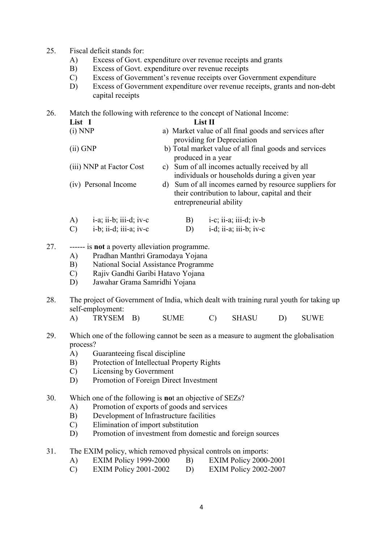- 25. Fiscal deficit stands for:
	- A) Excess of Govt. expenditure over revenue receipts and grants
	- B) Excess of Govt. expenditure over revenue receipts
	- C) Excess of Government's revenue receipts over Government expenditure
	- D) Excess of Government expenditure over revenue receipts, grants and non-debt capital receipts

26. Match the following with reference to the concept of National Income: List I List II

- (i) NNP a) Market value of all final goods and services after providing for Depreciation (ii) GNP b) Total market value of all final goods and services produced in a year
- (iii) NNP at Factor Cost c) Sum of all incomes actually received by all individuals or households during a given year
- (iv) Personal Income d) Sum of all incomes earned by resource suppliers for their contribution to labour, capital and their entrepreneurial ability
- A) i-a; ii-b; iii-d; iv-c B) i-c; ii-a; iii-d; iv-b
- $(C)$  i-b; ii-d; iii-a; iv-c  $(D)$  i-d; ii-a; iii-b; iv-c
- 27. ------ is not a poverty alleviation programme.
	- A) Pradhan Manthri Gramodaya Yojana
	- B) National Social Assistance Programme
	- C) Rajiv Gandhi Garibi Hatavo Yojana
	- D) Jawahar Grama Samridhi Yojana
- 28. The project of Government of India, which dealt with training rural youth for taking up self-employment:
	- A) TRYSEM B) SUME C) SHASU D) SUWE
- 29. Which one of the following cannot be seen as a measure to augment the globalisation process?
	- A) Guaranteeing fiscal discipline
	- B) Protection of Intellectual Property Rights
	- C) Licensing by Government
	- D) Promotion of Foreign Direct Investment
- 30. Which one of the following is not an objective of SEZs?
	- A) Promotion of exports of goods and services
	- B) Development of Infrastructure facilities
	- C) Elimination of import substitution
	- D) Promotion of investment from domestic and foreign sources
- 31. The EXIM policy, which removed physical controls on imports:
	- A) EXIM Policy 1999-2000 B) EXIM Policy 2000-2001
	- C) EXIM Policy 2001-2002 D) EXIM Policy 2002-2007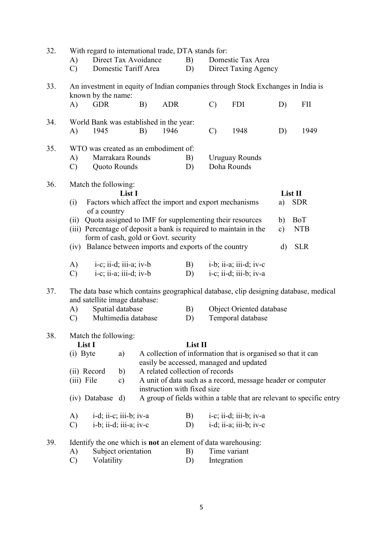| 32. | With regard to international trade, DTA stands for:                                                                   |                                                                         |                        |                       |                                 |          |                                                         |                                                                                 |              |                                                                      |  |  |  |
|-----|-----------------------------------------------------------------------------------------------------------------------|-------------------------------------------------------------------------|------------------------|-----------------------|---------------------------------|----------|---------------------------------------------------------|---------------------------------------------------------------------------------|--------------|----------------------------------------------------------------------|--|--|--|
|     | A)                                                                                                                    | Direct Tax Avoidance                                                    |                        |                       |                                 | B)       | Domestic Tax Area                                       |                                                                                 |              |                                                                      |  |  |  |
|     | $\mathbf{C}$                                                                                                          | Domestic Tariff Area                                                    |                        |                       |                                 | D)       |                                                         | Direct Taxing Agency                                                            |              |                                                                      |  |  |  |
| 33. |                                                                                                                       | known by the name:                                                      |                        |                       |                                 |          |                                                         | An investment in equity of Indian companies through Stock Exchanges in India is |              |                                                                      |  |  |  |
|     | A)                                                                                                                    | <b>GDR</b>                                                              |                        | B)                    | <b>ADR</b>                      |          | $\mathcal{C}$                                           | <b>FDI</b>                                                                      | D)           | <b>FII</b>                                                           |  |  |  |
| 34. | World Bank was established in the year:                                                                               |                                                                         |                        |                       |                                 |          |                                                         |                                                                                 |              |                                                                      |  |  |  |
|     | A)                                                                                                                    | 1945                                                                    |                        | B)                    | 1946                            |          | $\mathcal{C}$                                           | 1948                                                                            | D)           | 1949                                                                 |  |  |  |
| 35. |                                                                                                                       | WTO was created as an embodiment of:                                    |                        |                       |                                 |          |                                                         |                                                                                 |              |                                                                      |  |  |  |
|     | A)                                                                                                                    | Marrakara Rounds<br>Quoto Rounds                                        |                        |                       |                                 | B)<br>D) |                                                         | <b>Uruguay Rounds</b><br>Doha Rounds                                            |              |                                                                      |  |  |  |
|     | $\mathcal{C}$                                                                                                         |                                                                         |                        |                       |                                 |          |                                                         |                                                                                 |              |                                                                      |  |  |  |
| 36. |                                                                                                                       | Match the following:                                                    |                        |                       |                                 |          |                                                         |                                                                                 |              |                                                                      |  |  |  |
|     | (i)                                                                                                                   | Factors which affect the import and export mechanisms                   | a)                     | List II<br><b>SDR</b> |                                 |          |                                                         |                                                                                 |              |                                                                      |  |  |  |
|     |                                                                                                                       | of a country<br>Quota assigned to IMF for supplementing their resources |                        |                       |                                 |          |                                                         |                                                                                 |              |                                                                      |  |  |  |
|     | (ii)                                                                                                                  |                                                                         |                        |                       |                                 |          |                                                         |                                                                                 | b)           | BoT                                                                  |  |  |  |
|     |                                                                                                                       | form of cash, gold or Govt. security                                    |                        |                       |                                 |          |                                                         | (iii) Percentage of deposit a bank is required to maintain in the               | c)           | <b>NTB</b>                                                           |  |  |  |
|     |                                                                                                                       | (iv) Balance between imports and exports of the country                 |                        |                       |                                 |          |                                                         |                                                                                 | $\mathbf{d}$ | <b>SLR</b>                                                           |  |  |  |
|     | A)                                                                                                                    | $i-c$ ; ii-d; iii-a; iv-b                                               |                        |                       | B)                              |          | $i-b$ ; $i\overline{i}$ -a; $i\overline{i}i$ -d; $iv-c$ |                                                                                 |              |                                                                      |  |  |  |
|     | $\mathcal{C}$                                                                                                         |                                                                         | i-c; ii-a; iii-d; iv-b |                       |                                 | D)       |                                                         | $i-c$ ; $i$ <i>i</i> -d; $i$ <i>ii</i> -b; $iv-a$                               |              |                                                                      |  |  |  |
| 37. | The data base which contains geographical database, clip designing database, medical<br>and satellite image database: |                                                                         |                        |                       |                                 |          |                                                         |                                                                                 |              |                                                                      |  |  |  |
|     | A)                                                                                                                    | Spatial database                                                        |                        |                       | B)                              |          |                                                         | Object Oriented database                                                        |              |                                                                      |  |  |  |
|     | $\mathcal{C}$                                                                                                         | Multimedia database                                                     |                        |                       |                                 | D)       |                                                         | Temporal database                                                               |              |                                                                      |  |  |  |
| 38. | Match the following:<br>List I<br>List II                                                                             |                                                                         |                        |                       |                                 |          |                                                         |                                                                                 |              |                                                                      |  |  |  |
|     | (i) Byte                                                                                                              |                                                                         | a)                     |                       |                                 |          |                                                         | A collection of information that is organised so that it can                    |              |                                                                      |  |  |  |
|     |                                                                                                                       |                                                                         |                        |                       |                                 |          |                                                         | easily be accessed, managed and updated                                         |              |                                                                      |  |  |  |
|     | (ii) Record                                                                                                           |                                                                         | b)                     |                       | A related collection of records |          |                                                         |                                                                                 |              |                                                                      |  |  |  |
|     | (iii) File                                                                                                            |                                                                         | c)                     |                       |                                 |          |                                                         | A unit of data such as a record, message header or computer                     |              |                                                                      |  |  |  |
|     |                                                                                                                       | (iv) Database                                                           | d)                     |                       | instruction with fixed size     |          |                                                         |                                                                                 |              | A group of fields within a table that are relevant to specific entry |  |  |  |
|     |                                                                                                                       |                                                                         |                        |                       |                                 |          |                                                         |                                                                                 |              |                                                                      |  |  |  |
|     | A)                                                                                                                    | i-d; ii-c; iii-b; iv-a                                                  |                        |                       |                                 | B)       |                                                         | i-c; ii-d; iii-b; iv-a                                                          |              |                                                                      |  |  |  |
|     | $i-b$ ; $i$ $i-d$ ; $i$ $i$ $i-a$ ; $iv-c$<br>i-d; ii-a; iii-b; iv-c<br>$\mathcal{C}$<br>D)                           |                                                                         |                        |                       |                                 |          |                                                         |                                                                                 |              |                                                                      |  |  |  |
| 39. |                                                                                                                       |                                                                         |                        |                       |                                 |          |                                                         | Identify the one which is <b>not</b> an element of data warehousing:            |              |                                                                      |  |  |  |
|     | Subject orientation<br>A)                                                                                             |                                                                         |                        |                       |                                 | B)       | Time variant                                            |                                                                                 |              |                                                                      |  |  |  |
|     | $\mathcal{C}$                                                                                                         | Volatility                                                              |                        |                       |                                 | D)       | Integration                                             |                                                                                 |              |                                                                      |  |  |  |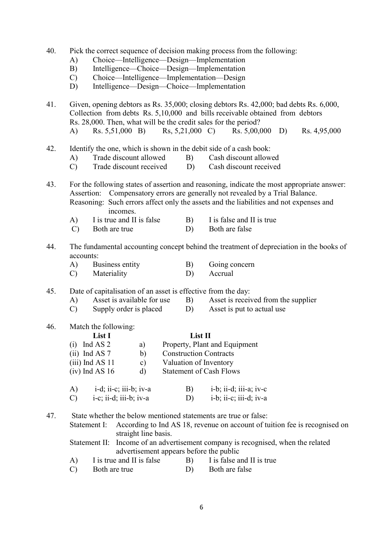| 40. |                                                                          |  |  |  |
|-----|--------------------------------------------------------------------------|--|--|--|
|     | Pick the correct sequence of decision making process from the following: |  |  |  |

- A) Choice—Intelligence—Design—Implementation
- B) Intelligence—Choice—Design—Implementation
- C) Choice—Intelligence—Implementation—Design
- D) Intelligence—Design—Choice—Implementation

41. Given, opening debtors as Rs. 35,000; closing debtors Rs. 42,000; bad debts Rs. 6,000, Collection from debts Rs. 5,10,000 and bills receivable obtained from debtors Rs. 28,000. Then, what will be the credit sales for the period?

- A) Rs. 5,51,000 B) Rs, 5,21,000 C) Rs. 5,00,000 D) Rs. 4,95,000
- 42. Identify the one, which is shown in the debit side of a cash book:
	- A) Trade discount allowed B) Cash discount allowed
	- C) Trade discount received D) Cash discount received

43. For the following states of assertion and reasoning, indicate the most appropriate answer: Assertion: Compensatory errors are generally not revealed by a Trial Balance. Reasoning: Such errors affect only the assets and the liabilities and not expenses and incomes.

- A) I is true and II is false B) I is false and II is true
- C) Both are true D) Both are false
- 44. The fundamental accounting concept behind the treatment of depreciation in the books of accounts:

| Business entity | Going concern |
|-----------------|---------------|
|                 |               |

- C) Materiality D) Accrual
- 45. Date of capitalisation of an asset is effective from the day:
	- A) Asset is available for use B) Asset is received from the supplier
	- C) Supply order is placed D) Asset is put to actual use
- 46. Match the following:

### List I List II

 (i) Ind AS 2 a) Property, Plant and Equipment (ii) Ind AS 7 b) Construction Contracts (iii) Ind AS 11 c) Valuation of Inventory (iv) Ind AS 16 d) Statement of Cash Flows  $\overrightarrow{a}$  ii-c; ii-c; ii-c; ii-c; ii-d; ii-d; ii-d; ii-d; ii-d; ii-d; ii-d; ii-d; ii-d; ii-d; ii-d; ii-d; ii-d; ii-d; ii-d; ii-d; ii-d; ii-d; ii-d; ii-d; ii-d; ii-d; ii-d; ii-d; ii-d; ii-d; ii-d; ii-d; ii-d; ii-d; ii-d; ii

| $i-d$ ; $i1-c$ ; $i11-b$ ; $iv-a$ | B) | $i-b$ ; $i1-d$ ; $i11-a$ ; $i1-c$ |
|-----------------------------------|----|-----------------------------------|
| i-c; ii-d; iii-b; iv-a            | D) | i-b; ii-c; iii-d; iv-a            |

47. State whether the below mentioned statements are true or false:

Statement I: According to Ind AS 18, revenue on account of tuition fee is recognised on straight line basis.

 Statement II: Income of an advertisement company is recognised, when the related advertisement appears before the public

- $(A)$  I is true and II is false B) I is false and II is true
- C) Both are true D) Both are false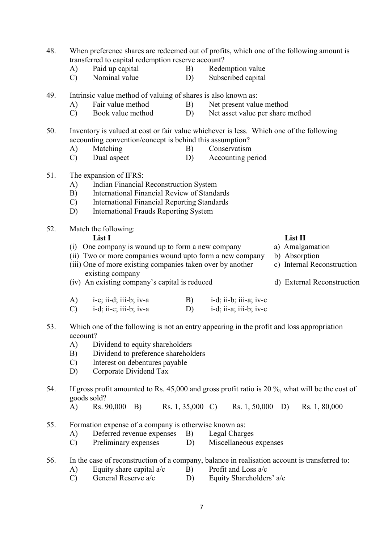- 48. When preference shares are redeemed out of profits, which one of the following amount is transferred to capital redemption reserve account?
	- A) Paid up capital B) Redemption value
	- C) Nominal value D) Subscribed capital
- 49. Intrinsic value method of valuing of shares is also known as:
	- A) Fair value method B) Net present value method
	- C) Book value method D) Net asset value per share method
- 50. Inventory is valued at cost or fair value whichever is less. Which one of the following accounting convention/concept is behind this assumption?
	- A) Matching B) Conservatism
	- C) Dual aspect D) Accounting period
- 51. The expansion of IFRS:
	- A) Indian Financial Reconstruction System
	- B) International Financial Review of Standards
	- C) International Financial Reporting Standards
	- D) International Frauds Reporting System
- 52. Match the following:

List I List II

- (i) One company is wound up to form a new company a) Amalgamation
- (ii) Two or more companies wound upto form a new company b) Absorption (iii) One of more existing companies taken over by another c) Internal Reconstruction
	- existing company
- (iv) An existing company's capital is reduced d) External Reconstruction
- A) i-c; ii-d; iii-b; iv-a B) i-d; ii-b; iii-a; iv-c C)  $i-d$ ;  $i i-c$ ;  $i i i-b$ ;  $i v-a$  D)  $i-d$ ;  $i i-a$ ;  $i i i-b$ ;  $i v-c$
- 53. Which one of the following is not an entry appearing in the profit and loss appropriation account?
	- A) Dividend to equity shareholders
	- B) Dividend to preference shareholders
	- C) Interest on debentures payable
	- D) Corporate Dividend Tax
- 54. If gross profit amounted to Rs. 45,000 and gross profit ratio is 20 %, what will be the cost of goods sold?
	- A) Rs. 90,000 B) Rs. 1, 35,000 C) Rs. 1, 50,000 D) Rs. 1, 80,000
- 55. Formation expense of a company is otherwise known as:
	- A) Deferred revenue expenses B) Legal Charges
	- C) Preliminary expenses D) Miscellaneous expenses

# 56. In the case of reconstruction of a company, balance in realisation account is transferred to:

- A) Equity share capital  $a/c$  B) Profit and Loss  $a/c$
- C) General Reserve a/c D) Equity Shareholders' a/c
- 
- 
- 
-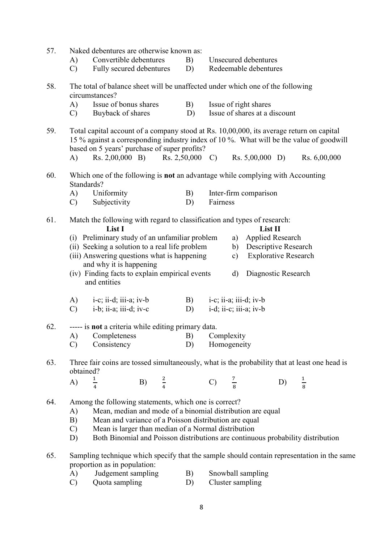| 57. | Naked debentures are otherwise known as:<br>Convertible debentures<br>Unsecured debentures<br>B)<br>A)<br>$\mathcal{C}$<br>Fully secured debentures<br>Redeemable debentures<br>D)                                                                                                                                                                        |                                                                                                                                                                                                                                     |                  |  |                   |                           |              |                                                        |    |               |  |
|-----|-----------------------------------------------------------------------------------------------------------------------------------------------------------------------------------------------------------------------------------------------------------------------------------------------------------------------------------------------------------|-------------------------------------------------------------------------------------------------------------------------------------------------------------------------------------------------------------------------------------|------------------|--|-------------------|---------------------------|--------------|--------------------------------------------------------|----|---------------|--|
| 58. |                                                                                                                                                                                                                                                                                                                                                           | The total of balance sheet will be unaffected under which one of the following<br>circumstances?                                                                                                                                    |                  |  |                   |                           |              |                                                        |    |               |  |
|     | A)<br>$\mathcal{C}$                                                                                                                                                                                                                                                                                                                                       | Issue of bonus shares<br>Buyback of shares                                                                                                                                                                                          |                  |  | B)<br>D)          |                           |              | Issue of right shares<br>Issue of shares at a discount |    |               |  |
| 59. |                                                                                                                                                                                                                                                                                                                                                           | Total capital account of a company stood at Rs. 10,00,000, its average return on capital<br>15 % against a corresponding industry index of 10 %. What will be the value of goodwill<br>based on 5 years' purchase of super profits? |                  |  |                   |                           |              |                                                        |    |               |  |
|     | A)                                                                                                                                                                                                                                                                                                                                                        | $\text{Rs. } 2,00,000 \quad \text{B)}$                                                                                                                                                                                              |                  |  | $Rs. 2,50,000$ C) |                           |              | $Rs. 5,00,000$ D)                                      |    | Rs. 6,00,000  |  |
| 60. | Which one of the following is <b>not</b> an advantage while complying with Accounting<br>Standards?                                                                                                                                                                                                                                                       |                                                                                                                                                                                                                                     |                  |  |                   |                           |              |                                                        |    |               |  |
|     | Uniformity<br>A)<br>B)<br>Subjectivity<br>$\mathcal{C}$<br>D)                                                                                                                                                                                                                                                                                             |                                                                                                                                                                                                                                     |                  |  |                   |                           | Fairness     | Inter-firm comparison                                  |    |               |  |
| 61. | Match the following with regard to classification and types of research:<br>List II<br>List I                                                                                                                                                                                                                                                             |                                                                                                                                                                                                                                     |                  |  |                   |                           |              |                                                        |    |               |  |
|     |                                                                                                                                                                                                                                                                                                                                                           | (i) Preliminary study of an unfamiliar problem                                                                                                                                                                                      |                  |  |                   |                           | a)           | <b>Applied Research</b>                                |    |               |  |
|     |                                                                                                                                                                                                                                                                                                                                                           | (ii) Seeking a solution to a real life problem<br>(iii) Answering questions what is happening                                                                                                                                       |                  |  |                   |                           | b)<br>c)     | Descriptive Research<br><b>Explorative Research</b>    |    |               |  |
|     |                                                                                                                                                                                                                                                                                                                                                           | and why it is happening<br>(iv) Finding facts to explain empirical events                                                                                                                                                           |                  |  |                   |                           | $\mathbf{d}$ | Diagnostic Research                                    |    |               |  |
|     |                                                                                                                                                                                                                                                                                                                                                           | and entities                                                                                                                                                                                                                        |                  |  |                   |                           |              |                                                        |    |               |  |
|     | A)                                                                                                                                                                                                                                                                                                                                                        | $i-c$ ; ii-d; iii-a; iv-b                                                                                                                                                                                                           |                  |  | B)                |                           |              | $i-c$ ; ii-a; iii-d; iv-b                              |    |               |  |
|     | $\mathcal{C}$                                                                                                                                                                                                                                                                                                                                             | $i-b$ ; $i\overline{i}$ -a; $i\overline{i}i$ -d; $iv-c$                                                                                                                                                                             |                  |  | D)                |                           |              | $i-d; ii-c; iii-a; iv-b$                               |    |               |  |
| 62. |                                                                                                                                                                                                                                                                                                                                                           | ----- is not a criteria while editing primary data.                                                                                                                                                                                 |                  |  |                   |                           |              |                                                        |    |               |  |
|     | A)<br>$\mathcal{C}$                                                                                                                                                                                                                                                                                                                                       | Completeness<br>Consistency                                                                                                                                                                                                         |                  |  | B)<br>D)          | Complexity<br>Homogeneity |              |                                                        |    |               |  |
|     |                                                                                                                                                                                                                                                                                                                                                           |                                                                                                                                                                                                                                     |                  |  |                   |                           |              |                                                        |    |               |  |
| 63. | obtained?                                                                                                                                                                                                                                                                                                                                                 | Three fair coins are tossed simultaneously, what is the probability that at least one head is                                                                                                                                       |                  |  |                   |                           |              |                                                        |    |               |  |
|     | A)                                                                                                                                                                                                                                                                                                                                                        |                                                                                                                                                                                                                                     | B) $\frac{2}{4}$ |  |                   | C) $\frac{7}{8}$          |              |                                                        | D) | $\frac{1}{8}$ |  |
| 64. | Among the following statements, which one is correct?<br>Mean, median and mode of a binomial distribution are equal<br>A)<br>B)<br>Mean and variance of a Poisson distribution are equal<br>Mean is larger than median of a Normal distribution<br>$\mathcal{C}$<br>Both Binomial and Poisson distributions are continuous probability distribution<br>D) |                                                                                                                                                                                                                                     |                  |  |                   |                           |              |                                                        |    |               |  |
| 65. | Sampling technique which specify that the sample should contain representation in the same<br>proportion as in population:<br>Judgement sampling<br>B)<br>Snowball sampling<br>A)<br>Quota sampling<br>Cluster sampling<br>$\mathcal{C}$<br>D)                                                                                                            |                                                                                                                                                                                                                                     |                  |  |                   |                           |              |                                                        |    |               |  |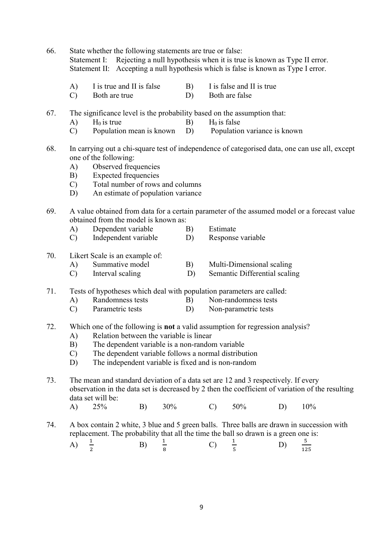66. State whether the following statements are true or false: Statement I: Rejecting a null hypothesis when it is true is known as Type II error. Statement II: Accepting a null hypothesis which is false is known as Type I error.

- $(A)$  I is true and II is false B) I is false and II is true
- C) Both are true D) Both are false
- 67. The significance level is the probability based on the assumption that:
	- A) H<sub>0</sub> is true B) H<sub>0</sub> is false
	- C) Population mean is known D) Population variance is known
- 68. In carrying out a chi-square test of independence of categorised data, one can use all, except one of the following:
	- A) Observed frequencies
	- B) Expected frequencies
	- C) Total number of rows and columns
	- D) An estimate of population variance
- 69. A value obtained from data for a certain parameter of the assumed model or a forecast value obtained from the model is known as:
	- A) Dependent variable B) Estimate
	- C) Independent variable D) Response variable

### 70. Likert Scale is an example of:

- A) Summative model B) Multi-Dimensional scaling
- C) Interval scaling D) Semantic Differential scaling
- 71. Tests of hypotheses which deal with population parameters are called:
	- A) Randomness tests B) Non-randomness tests
	- C) Parametric tests D) Non-parametric tests
- 72. Which one of the following is not a valid assumption for regression analysis?
	- A) Relation between the variable is linear
	- B) The dependent variable is a non-random variable
	- C) The dependent variable follows a normal distribution
	- D) The independent variable is fixed and is non-random
- 73. The mean and standard deviation of a data set are 12 and 3 respectively. If every observation in the data set is decreased by 2 then the coefficient of variation of the resulting data set will be:
- A) 25% B) 30% C) 50% D) 10%
- 74. A box contain 2 white, 3 blue and 5 green balls. Three balls are drawn in succession with replacement. The probability that all the time the ball so drawn is a green one is:

A) 
$$
\frac{1}{2}
$$
 \t\t B)  $\frac{1}{8}$  \t\t C)  $\frac{1}{5}$  \t\t D)  $\frac{5}{125}$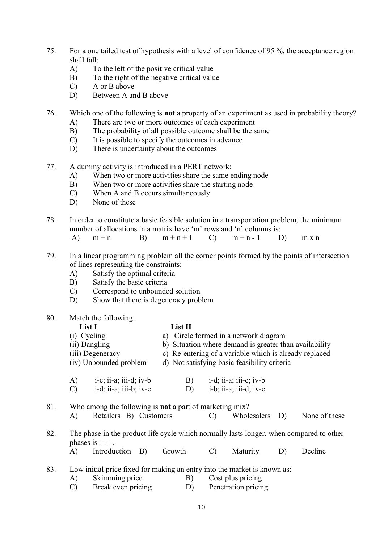- 75. For a one tailed test of hypothesis with a level of confidence of 95 %, the acceptance region shall fall:
	- A) To the left of the positive critical value
	- B) To the right of the negative critical value
	- C) A or B above
	- D) Between A and B above
- 76. Which one of the following is not a property of an experiment as used in probability theory?
	- A) There are two or more outcomes of each experiment
	- B) The probability of all possible outcome shall be the same
	- C) It is possible to specify the outcomes in advance
	- D) There is uncertainty about the outcomes
- 77. A dummy activity is introduced in a PERT network:
	- A) When two or more activities share the same ending node
	- B) When two or more activities share the starting node
	- C) When A and B occurs simultaneously
	- D) None of these
- 78. In order to constitute a basic feasible solution in a transportation problem, the minimum number of allocations in a matrix have 'm' rows and 'n' columns is:
- A)  $m+n$  B)  $m+n+1$  C)  $m+n-1$  D)  $m \times n$
- 79. In a linear programming problem all the corner points formed by the points of intersection of lines representing the constraints:
	- A) Satisfy the optimal criteria
	- B) Satisfy the basic criteria
	- C) Correspond to unbounded solution
	- D) Show that there is degeneracy problem

### 80. Match the following:

# List I List II

- (i) Cycling a) Circle formed in a network diagram (ii) Dangling b) Situation where demand is greater than availability (iii) Degeneracy c) Re-entering of a variable which is already replaced (iv) Unbounded problem d) Not satisfying basic feasibility criteria A) i-c; ii-a; iii-d; iv-b B) i-d; ii-a; iii-c; iv-b C) i-d; ii-a; iii-b; iv-c D) i-b; ii-a; iii-d; iv-c
- 81. Who among the following is not a part of marketing mix? A) Retailers B) Customers C) Wholesalers D) None of these 82. The phase in the product life cycle which normally lasts longer, when compared to other phases is------. A) Introduction B) Growth C) Maturity D) Decline
- 83. Low initial price fixed for making an entry into the market is known as:
	- A) Skimming price B) Cost plus pricing
	- C) Break even pricing D) Penetration pricing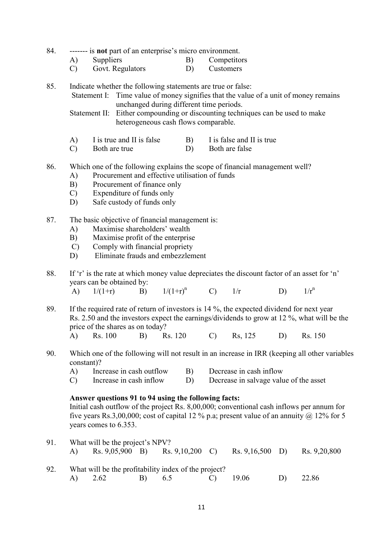- 84. ------- is **not** part of an enterprise's micro environment.
	- A) Suppliers B) Competitors<br>
	C) Govt. Regulators D) Customers
	- C) Govt. Regulators D)
- 85. Indicate whether the following statements are true or false:
	- Statement I: Time value of money signifies that the value of a unit of money remains unchanged during different time periods.

 Statement II: Either compounding or discounting techniques can be used to make heterogeneous cash flows comparable.

- A) I is true and II is false B) I is false and II is true
- C) Both are true D) Both are false
- 86. Which one of the following explains the scope of financial management well?
	- A) Procurement and effective utilisation of funds
	- B) Procurement of finance only
	- C) Expenditure of funds only
	- D) Safe custody of funds only
- 87. The basic objective of financial management is:
	- A) Maximise shareholders' wealth
	- B) Maximise profit of the enterprise
	- C) Comply with financial propriety
	- D) Eliminate frauds and embezzlement
- 88. If 'r' is the rate at which money value depreciates the discount factor of an asset for 'n' years can be obtained by: A)  $1/(1+r)$  B)  $1/(1+r)^n$  C)  $1/r$  D)  $1/r^n$
- 89. If the required rate of return of investors is 14 %, the expected dividend for next year Rs. 2.50 and the investors expect the earnings/dividends to grow at 12 %, what will be the price of the shares as on today? A) Rs. 100 B) Rs. 120 C) Rs, 125 D) Rs. 150
- 90. Which one of the following will not result in an increase in IRR (keeping all other variables constant)?
	- A) Increase in cash outflow B) Decrease in cash inflow
	- C) Increase in cash inflow D) Decrease in salvage value of the asset

# Answer questions 91 to 94 using the following facts:

 Initial cash outflow of the project Rs. 8,00,000; conventional cash inflows per annum for five years Rs.3,00,000; cost of capital 12 % p.a; present value of an annuity  $\omega$  12% for 5 years comes to 6.353.

- 91. What will be the project's NPV? A) Rs. 9,05,900 B) Rs. 9,10,200 C) Rs. 9,16,500 D) Rs. 9,20,800
- 92. What will be the profitability index of the project? A) 2.62 B) 6.5 C) 19.06 D) 22.86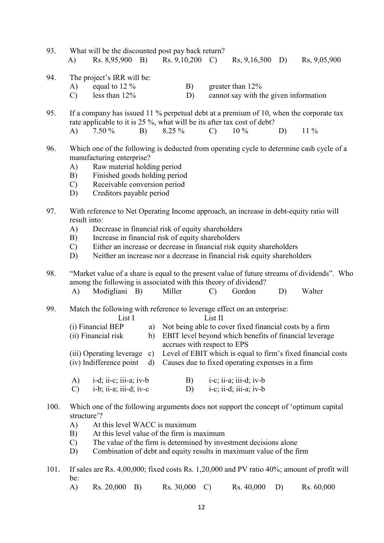- 93. What will be the discounted post pay back return? A) Rs. 8,95,900 B) Rs. 9,10,200 C) Rs, 9,16,500 D) Rs, 9,05,900
- 94. The project's IRR will be:
	- A) equal to  $12\%$  B) greater than  $12\%$

C) less than 12% D) cannot say with the given information

- 95. If a company has issued 11 % perpetual debt at a premium of 10, when the corporate tax rate applicable to it is 25 %, what will be its after tax cost of debt? A) 7.50 % B) 8.25 % C)  $10\%$  D)  $11\%$
- 96. Which one of the following is deducted from operating cycle to determine cash cycle of a manufacturing enterprise?
	- A) Raw material holding period
	- B) Finished goods holding period
	- C) Receivable conversion period
	- D) Creditors payable period
- 97. With reference to Net Operating Income approach, an increase in debt-equity ratio will result into:
	- A) Decrease in financial risk of equity shareholders
	- B) Increase in financial risk of equity shareholders
	- C) Either an increase or decrease in financial risk equity shareholders
	- D) Neither an increase nor a decrease in financial risk equity shareholders
- 98. "Market value of a share is equal to the present value of future streams of dividends". Who among the following is associated with this theory of dividend? A) Modigliani B) Miller C) Gordon D) Walter
	-
- 99. Match the following with reference to leverage effect on an enterprise:

| List I                  | List II                                                                                  |
|-------------------------|------------------------------------------------------------------------------------------|
| (i) Financial BEP       | a) Not being able to cover fixed financial costs by a firm                               |
| (ii) Financial risk     | b) EBIT level beyond which benefits of financial leverage                                |
|                         | accrues with respect to EPS                                                              |
|                         | (iii) Operating leverage c) Level of EBIT which is equal to firm's fixed financial costs |
| (iv) Indifference point | d) Causes due to fixed operating expenses in a firm                                      |
|                         |                                                                                          |

- A)  $i-d; ii-c; iii-a; iv-b$  B)  $i-c; ii-a; iii-d; iv-b$  $(C)$  i-b; ii-a; iii-d; iv-c  $(D)$  i-c; ii-d; iii-a; iv-b
- 100. Which one of the following arguments does not support the concept of 'optimum capital structure'?
	- A) At this level WACC is maximum
	- B) At this level value of the firm is maximum
	- C) The value of the firm is determined by investment decisions alone
	- D) Combination of debt and equity results in maximum value of the firm
- 101. If sales are Rs. 4,00,000; fixed costs Rs. 1,20,000 and PV ratio 40%; amount of profit will be:
	- A) Rs. 20,000 B) Rs. 30,000 C) Rs. 40,000 D) Rs. 60,000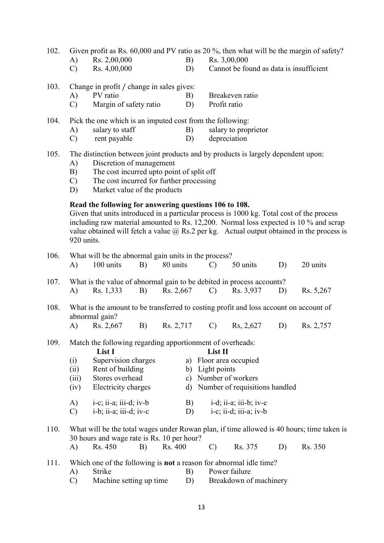102. Given profit as Rs. 60,000 and PV ratio as 20 %, then what will be the margin of safety?

- 
- 
- A) Rs. 2,00,000 B) Rs. 3,00,000<br>C) Rs. 4,00,000 D) Cannot be fo  $D$  Cannot be found as data is insufficient
- 103. Change in profit / change in sales gives:<br>A) PV ratio B)
	- A) PV ratio B) Breakeven ratio
	- C) Margin of safety ratio D) Profit ratio

104. Pick the one which is an imputed cost from the following:

- A) salary to staff B) salary to proprietor
- C) rent payable D) depreciation
- 105. The distinction between joint products and by products is largely dependent upon:
	- A) Discretion of management
	- B) The cost incurred upto point of split off
	- C) The cost incurred for further processing
	- D) Market value of the products

# Read the following for answering questions 106 to 108.

 Given that units introduced in a particular process is 1000 kg. Total cost of the process including raw material amounted to Rs. 12,200. Normal loss expected is 10 % and scrap value obtained will fetch a value  $\omega$  Rs. 2 per kg. Actual output obtained in the process is 920 units.

| 106. | What will be the abnormal gain units in the process?                                                                                                     |                                                                                                                                                                                                                                                                                         |    |           |          |                                                                                                                                                                                                     |           |    |                                                                                                      |  |  |  |
|------|----------------------------------------------------------------------------------------------------------------------------------------------------------|-----------------------------------------------------------------------------------------------------------------------------------------------------------------------------------------------------------------------------------------------------------------------------------------|----|-----------|----------|-----------------------------------------------------------------------------------------------------------------------------------------------------------------------------------------------------|-----------|----|------------------------------------------------------------------------------------------------------|--|--|--|
|      | A)                                                                                                                                                       | 100 units                                                                                                                                                                                                                                                                               | B) |           | 80 units |                                                                                                                                                                                                     | 50 units  | D) | 20 units                                                                                             |  |  |  |
| 107. | What is the value of abnormal gain to be debited in process accounts?                                                                                    |                                                                                                                                                                                                                                                                                         |    |           |          |                                                                                                                                                                                                     |           |    |                                                                                                      |  |  |  |
|      | A)                                                                                                                                                       | Rs. 1,333                                                                                                                                                                                                                                                                               | B) | Rs. 2,667 |          | $\mathcal{C}$                                                                                                                                                                                       | Rs. 3,937 | D) | Rs. 5,267                                                                                            |  |  |  |
| 108. |                                                                                                                                                          | What is the amount to be transferred to costing profit and loss account on account of<br>abnormal gain?                                                                                                                                                                                 |    |           |          |                                                                                                                                                                                                     |           |    |                                                                                                      |  |  |  |
|      | A)                                                                                                                                                       | Rs. 2,667                                                                                                                                                                                                                                                                               | B) | Rs. 2,717 |          | $\mathcal{C}$                                                                                                                                                                                       | Rs, 2,627 | D) | Rs. 2,757                                                                                            |  |  |  |
| 109. | (i)<br>(ii)<br>(iii)<br>(iv)<br>A)<br>$\mathcal{C}$                                                                                                      | Match the following regarding apportionment of overheads:<br>List I<br>Supervision charges<br>Rent of building<br>Stores overhead<br>Electricity charges<br>$i-c$ ; $i$ <i>i</i> -a; $i$ <i>i</i> $i$ -d; $iv-b$<br>B)<br>$i-b$ ; $i\overline{i}$ -a; $i\overline{i}i$ -d; $iv-c$<br>D) |    |           |          | List II<br>a) Floor area occupied<br>b) Light points<br>c) Number of workers<br>d) Number of requisitions handled<br>i-d; ii-a; iii-b; iv-c<br>$i-c$ ; $i$ <i>i</i> -d; $i$ <i>i</i> $i$ -a; $iv-b$ |           |    |                                                                                                      |  |  |  |
| 110. | A)                                                                                                                                                       | 30 hours and wage rate is Rs. 10 per hour?<br>Rs. 450                                                                                                                                                                                                                                   | B) | Rs. 400   |          | $\mathcal{C}$                                                                                                                                                                                       | Rs. 375   | D) | What will be the total wages under Rowan plan, if time allowed is 40 hours; time taken is<br>Rs. 350 |  |  |  |
| 111. | Which one of the following is <b>not</b> a reason for abnormal idle time?<br><b>Strike</b><br>A)<br>B)<br>Machine setting up time<br>D)<br>$\mathcal{C}$ |                                                                                                                                                                                                                                                                                         |    |           |          | Power failure<br>Breakdown of machinery                                                                                                                                                             |           |    |                                                                                                      |  |  |  |